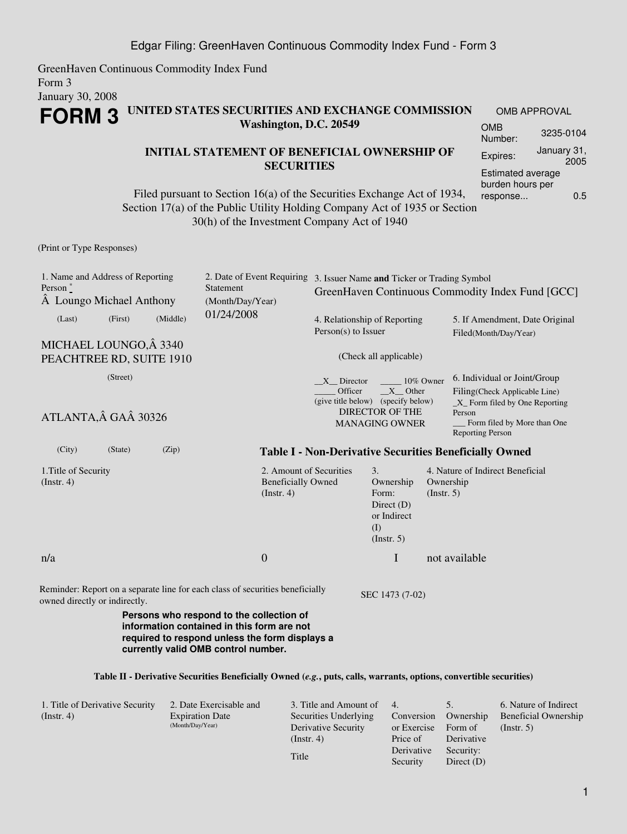GreenHaven Continuous Commodity Index Fund Form 3 January 30, 2008

## **FORM 3 UNITED STATES SECURITIES AND EXCHANGE COMMISSION Washington, D.C. 20549**

### **INITIAL STATEMENT OF BENEFICIAL OWNERSHIP OF SECURITIES**

Filed pursuant to Section 16(a) of the Securities Exchange Act of 1934, Section 17(a) of the Public Utility Holding Company Act of 1935 or Section 30(h) of the Investment Company Act of 1940

OMB APPROVAL OMB Number: 3235-0104 Expires: January 31, 2005 Estimated average burden hours per response... 0.5

(Print or Type Responses)

| 1. Name and Address of Reporting<br>Person $\degree$<br>A Loungo Michael Anthony                                                                                                                                            |  | Statement<br>(Month/Day/Year) |            | 2. Date of Event Requiring 3. Issuer Name and Ticker or Trading Symbol<br>GreenHaven Continuous Commodity Index Fund [GCC] |                                                                                                                                          |                                                                               |                          |                                                                                                                                                                      |  |
|-----------------------------------------------------------------------------------------------------------------------------------------------------------------------------------------------------------------------------|--|-------------------------------|------------|----------------------------------------------------------------------------------------------------------------------------|------------------------------------------------------------------------------------------------------------------------------------------|-------------------------------------------------------------------------------|--------------------------|----------------------------------------------------------------------------------------------------------------------------------------------------------------------|--|
| (First)<br>(Last)                                                                                                                                                                                                           |  | (Middle)                      | 01/24/2008 |                                                                                                                            | 4. Relationship of Reporting<br>$Person(s)$ to Issuer                                                                                    |                                                                               |                          | 5. If Amendment, Date Original<br>Filed(Month/Day/Year)                                                                                                              |  |
| MICHAEL LOUNGO, Â 3340<br>PEACHTREE RD, SUITE 1910<br>(Street)<br>ATLANTA, GA 30326                                                                                                                                         |  |                               |            |                                                                                                                            | (Check all applicable)                                                                                                                   |                                                                               |                          |                                                                                                                                                                      |  |
|                                                                                                                                                                                                                             |  |                               |            |                                                                                                                            | X Director<br>10% Owner<br>$X$ Other<br>Officer<br>(give title below) (specify below)<br><b>DIRECTOR OF THE</b><br><b>MANAGING OWNER</b> |                                                                               |                          | 6. Individual or Joint/Group<br>Filing(Check Applicable Line)<br>$X$ Form filed by One Reporting<br>Person<br>Form filed by More than One<br><b>Reporting Person</b> |  |
| (City)<br>(State)                                                                                                                                                                                                           |  | (Zip)                         |            |                                                                                                                            |                                                                                                                                          |                                                                               |                          | Table I - Non-Derivative Securities Beneficially Owned                                                                                                               |  |
| 1. Title of Security<br>(Instr. 4)                                                                                                                                                                                          |  |                               |            | 2. Amount of Securities<br><b>Beneficially Owned</b><br>$($ Instr. 4 $)$                                                   |                                                                                                                                          | 3.<br>Ownership<br>Form:<br>Direct $(D)$<br>or Indirect<br>(I)<br>(Insert. 5) | Ownership<br>(Insert. 5) | 4. Nature of Indirect Beneficial                                                                                                                                     |  |
| n/a                                                                                                                                                                                                                         |  |                               |            | $\boldsymbol{0}$                                                                                                           |                                                                                                                                          | $\mathbf I$                                                                   |                          | not available                                                                                                                                                        |  |
| Reminder: Report on a separate line for each class of securities beneficially<br>SEC 1473 (7-02)<br>owned directly or indirectly.<br>Persons who respond to the collection of<br>information contained in this form are not |  |                               |            |                                                                                                                            |                                                                                                                                          |                                                                               |                          |                                                                                                                                                                      |  |
| required to respond unless the form displays a<br>currently valid OMB control number.                                                                                                                                       |  |                               |            |                                                                                                                            |                                                                                                                                          |                                                                               |                          |                                                                                                                                                                      |  |

#### **Table II - Derivative Securities Beneficially Owned (***e.g.***, puts, calls, warrants, options, convertible securities)**

| 1. Title of Derivative Security | 2. Date Exercisable and | 3. Title and Amount of | 4.          |              | 6. Nature of Indirect       |
|---------------------------------|-------------------------|------------------------|-------------|--------------|-----------------------------|
| $($ Instr. 4 $)$                | <b>Expiration Date</b>  | Securities Underlying  | Conversion  | Ownership    | <b>Beneficial Ownership</b> |
|                                 | (Month/Day/Year)        | Derivative Security    | or Exercise | Form of      | (Insert, 5)                 |
|                                 |                         | (Instr. 4)             | Price of    | Derivative   |                             |
|                                 |                         |                        | Derivative  | Security:    |                             |
|                                 |                         | Title                  | Security    | Direct $(D)$ |                             |